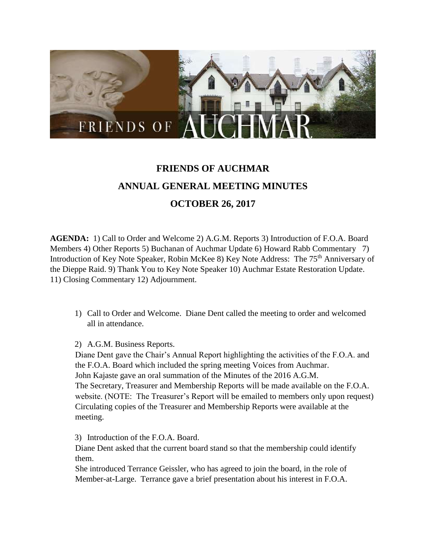

# **FRIENDS OF AUCHMAR ANNUAL GENERAL MEETING MINUTES OCTOBER 26, 2017**

**AGENDA:** 1) Call to Order and Welcome 2) A.G.M. Reports 3) Introduction of F.O.A. Board Members 4) Other Reports 5) Buchanan of Auchmar Update 6) Howard Rabb Commentary 7) Introduction of Key Note Speaker, Robin McKee 8) Key Note Address: The 75<sup>th</sup> Anniversary of the Dieppe Raid. 9) Thank You to Key Note Speaker 10) Auchmar Estate Restoration Update. 11) Closing Commentary 12) Adjournment.

- 1) Call to Order and Welcome. Diane Dent called the meeting to order and welcomed all in attendance.
- 2) A.G.M. Business Reports.

Diane Dent gave the Chair's Annual Report highlighting the activities of the F.O.A. and the F.O.A. Board which included the spring meeting Voices from Auchmar. John Kajaste gave an oral summation of the Minutes of the 2016 A.G.M. The Secretary, Treasurer and Membership Reports will be made available on the F.O.A. website. (NOTE: The Treasurer's Report will be emailed to members only upon request) Circulating copies of the Treasurer and Membership Reports were available at the meeting.

3) Introduction of the F.O.A. Board.

Diane Dent asked that the current board stand so that the membership could identify them.

She introduced Terrance Geissler, who has agreed to join the board, in the role of Member-at-Large. Terrance gave a brief presentation about his interest in F.O.A.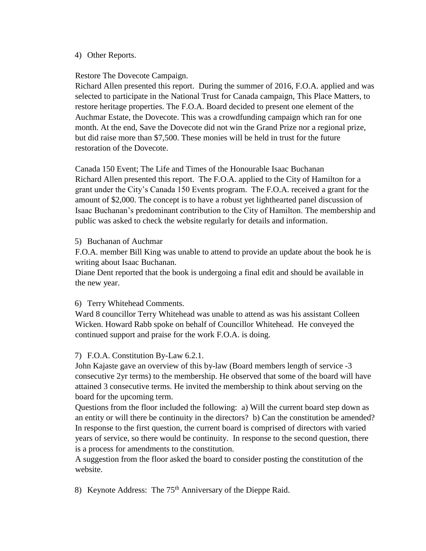#### 4) Other Reports.

#### Restore The Dovecote Campaign.

Richard Allen presented this report. During the summer of 2016, F.O.A. applied and was selected to participate in the National Trust for Canada campaign, This Place Matters, to restore heritage properties. The F.O.A. Board decided to present one element of the Auchmar Estate, the Dovecote. This was a crowdfunding campaign which ran for one month. At the end, Save the Dovecote did not win the Grand Prize nor a regional prize, but did raise more than \$7,500. These monies will be held in trust for the future restoration of the Dovecote.

Canada 150 Event; The Life and Times of the Honourable Isaac Buchanan Richard Allen presented this report. The F.O.A. applied to the City of Hamilton for a grant under the City's Canada 150 Events program. The F.O.A. received a grant for the amount of \$2,000. The concept is to have a robust yet lighthearted panel discussion of Isaac Buchanan's predominant contribution to the City of Hamilton. The membership and public was asked to check the website regularly for details and information.

## 5) Buchanan of Auchmar

F.O.A. member Bill King was unable to attend to provide an update about the book he is writing about Isaac Buchanan.

Diane Dent reported that the book is undergoing a final edit and should be available in the new year.

## 6) Terry Whitehead Comments.

Ward 8 councillor Terry Whitehead was unable to attend as was his assistant Colleen Wicken. Howard Rabb spoke on behalf of Councillor Whitehead. He conveyed the continued support and praise for the work F.O.A. is doing.

## 7) F.O.A. Constitution By-Law 6.2.1.

John Kajaste gave an overview of this by-law (Board members length of service -3 consecutive 2yr terms) to the membership. He observed that some of the board will have attained 3 consecutive terms. He invited the membership to think about serving on the board for the upcoming term.

Questions from the floor included the following: a) Will the current board step down as an entity or will there be continuity in the directors? b) Can the constitution be amended? In response to the first question, the current board is comprised of directors with varied years of service, so there would be continuity. In response to the second question, there is a process for amendments to the constitution.

A suggestion from the floor asked the board to consider posting the constitution of the website.

8) Keynote Address: The 75<sup>th</sup> Anniversary of the Dieppe Raid.